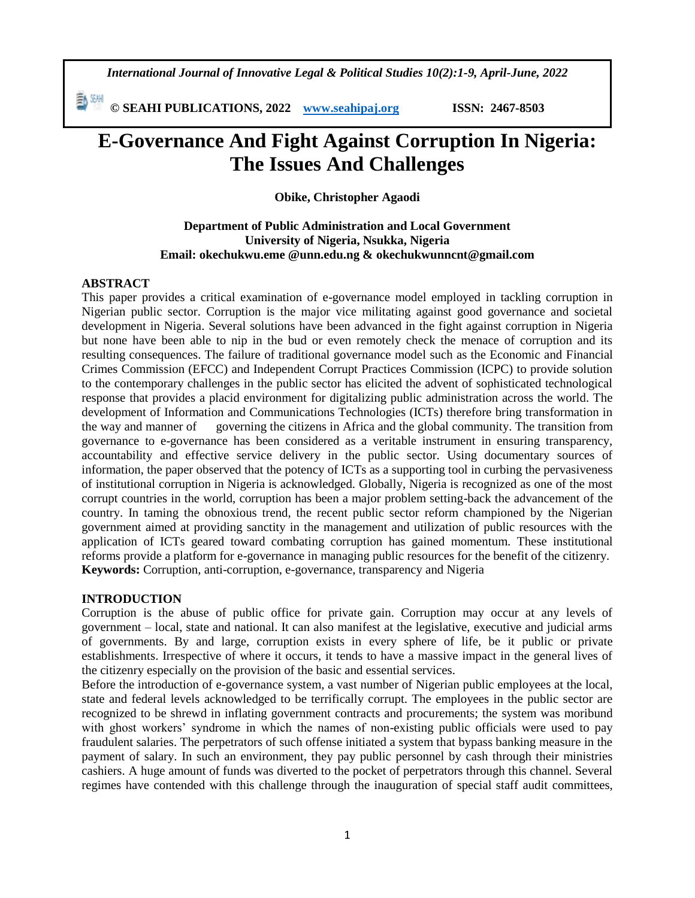*International Journal of Innovative Legal & Political Studies 10(2):1-9, April-June, 2022*

勤酬 **© SEAHI PUBLICATIONS, 2022 [www.seahipaj.org](http://www.seahipaj.org/) ISSN: 2467-8503**

# **E-Governance And Fight Against Corruption In Nigeria: The Issues And Challenges**

**Obike, Christopher Agaodi**

**Department of Public Administration and Local Government University of Nigeria, Nsukka, Nigeria Email: okechukwu.eme @unn.edu.ng & okechukwunncnt@gmail.com**

#### **ABSTRACT**

This paper provides a critical examination of e-governance model employed in tackling corruption in Nigerian public sector. Corruption is the major vice militating against good governance and societal development in Nigeria. Several solutions have been advanced in the fight against corruption in Nigeria but none have been able to nip in the bud or even remotely check the menace of corruption and its resulting consequences. The failure of traditional governance model such as the Economic and Financial Crimes Commission (EFCC) and Independent Corrupt Practices Commission (ICPC) to provide solution to the contemporary challenges in the public sector has elicited the advent of sophisticated technological response that provides a placid environment for digitalizing public administration across the world. The development of Information and Communications Technologies (ICTs) therefore bring transformation in the way and manner of governing the citizens in Africa and the global community. The transition from governance to e-governance has been considered as a veritable instrument in ensuring transparency, accountability and effective service delivery in the public sector. Using documentary sources of information, the paper observed that the potency of ICTs as a supporting tool in curbing the pervasiveness of institutional corruption in Nigeria is acknowledged. Globally, Nigeria is recognized as one of the most corrupt countries in the world, corruption has been a major problem setting-back the advancement of the country. In taming the obnoxious trend, the recent public sector reform championed by the Nigerian government aimed at providing sanctity in the management and utilization of public resources with the application of ICTs geared toward combating corruption has gained momentum. These institutional reforms provide a platform for e-governance in managing public resources for the benefit of the citizenry. **Keywords:** Corruption, anti-corruption, e-governance, transparency and Nigeria

# **INTRODUCTION**

Corruption is the abuse of public office for private gain. Corruption may occur at any levels of government – local, state and national. It can also manifest at the legislative, executive and judicial arms of governments. By and large, corruption exists in every sphere of life, be it public or private establishments. Irrespective of where it occurs, it tends to have a massive impact in the general lives of the citizenry especially on the provision of the basic and essential services.

Before the introduction of e-governance system, a vast number of Nigerian public employees at the local, state and federal levels acknowledged to be terrifically corrupt. The employees in the public sector are recognized to be shrewd in inflating government contracts and procurements; the system was moribund with ghost workers' syndrome in which the names of non-existing public officials were used to pay fraudulent salaries. The perpetrators of such offense initiated a system that bypass banking measure in the payment of salary. In such an environment, they pay public personnel by cash through their ministries cashiers. A huge amount of funds was diverted to the pocket of perpetrators through this channel. Several regimes have contended with this challenge through the inauguration of special staff audit committees,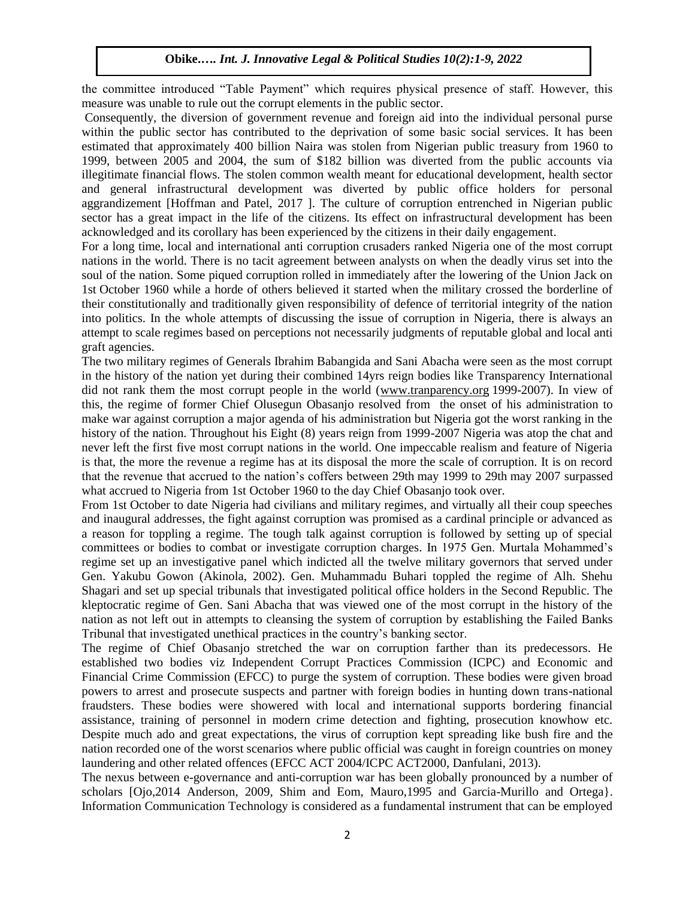the committee introduced "Table Payment" which requires physical presence of staff. However, this measure was unable to rule out the corrupt elements in the public sector.

Consequently, the diversion of government revenue and foreign aid into the individual personal purse within the public sector has contributed to the deprivation of some basic social services. It has been estimated that approximately 400 billion Naira was stolen from Nigerian public treasury from 1960 to 1999, between 2005 and 2004, the sum of \$182 billion was diverted from the public accounts via illegitimate financial flows. The stolen common wealth meant for educational development, health sector and general infrastructural development was diverted by public office holders for personal aggrandizement [Hoffman and Patel, 2017 ]. The culture of corruption entrenched in Nigerian public sector has a great impact in the life of the citizens. Its effect on infrastructural development has been acknowledged and its corollary has been experienced by the citizens in their daily engagement.

For a long time, local and international anti corruption crusaders ranked Nigeria one of the most corrupt nations in the world. There is no tacit agreement between analysts on when the deadly virus set into the soul of the nation. Some piqued corruption rolled in immediately after the lowering of the Union Jack on 1st October 1960 while a horde of others believed it started when the military crossed the borderline of their constitutionally and traditionally given responsibility of defence of territorial integrity of the nation into politics. In the whole attempts of discussing the issue of corruption in Nigeria, there is always an attempt to scale regimes based on perceptions not necessarily judgments of reputable global and local anti graft agencies.

The two military regimes of Generals Ibrahim Babangida and Sani Abacha were seen as the most corrupt in the history of the nation yet during their combined 14yrs reign bodies like Transparency International did not rank them the most corrupt people in the world [\(www.tranparency.org](http://www.tranparency.org/) 1999-2007). In view of this, the regime of former Chief Olusegun Obasanjo resolved from the onset of his administration to make war against corruption a major agenda of his administration but Nigeria got the worst ranking in the history of the nation. Throughout his Eight (8) years reign from 1999-2007 Nigeria was atop the chat and never left the first five most corrupt nations in the world. One impeccable realism and feature of Nigeria is that, the more the revenue a regime has at its disposal the more the scale of corruption. It is on record that the revenue that accrued to the nation's coffers between 29th may 1999 to 29th may 2007 surpassed what accrued to Nigeria from 1st October 1960 to the day Chief Obasanjo took over.

From 1st October to date Nigeria had civilians and military regimes, and virtually all their coup speeches and inaugural addresses, the fight against corruption was promised as a cardinal principle or advanced as a reason for toppling a regime. The tough talk against corruption is followed by setting up of special committees or bodies to combat or investigate corruption charges. In 1975 Gen. Murtala Mohammed's regime set up an investigative panel which indicted all the twelve military governors that served under Gen. Yakubu Gowon (Akinola, 2002). Gen. Muhammadu Buhari toppled the regime of Alh. Shehu Shagari and set up special tribunals that investigated political office holders in the Second Republic. The kleptocratic regime of Gen. Sani Abacha that was viewed one of the most corrupt in the history of the nation as not left out in attempts to cleansing the system of corruption by establishing the Failed Banks Tribunal that investigated unethical practices in the country's banking sector.

The regime of Chief Obasanjo stretched the war on corruption farther than its predecessors. He established two bodies viz Independent Corrupt Practices Commission (ICPC) and Economic and Financial Crime Commission (EFCC) to purge the system of corruption. These bodies were given broad powers to arrest and prosecute suspects and partner with foreign bodies in hunting down trans-national fraudsters. These bodies were showered with local and international supports bordering financial assistance, training of personnel in modern crime detection and fighting, prosecution knowhow etc. Despite much ado and great expectations, the virus of corruption kept spreading like bush fire and the nation recorded one of the worst scenarios where public official was caught in foreign countries on money laundering and other related offences (EFCC ACT 2004/ICPC ACT2000, Danfulani, 2013).

The nexus between e-governance and anti-corruption war has been globally pronounced by a number of scholars [Ojo,2014 Anderson, 2009, Shim and Eom, Mauro,1995 and Garcia-Murillo and Ortega}. Information Communication Technology is considered as a fundamental instrument that can be employed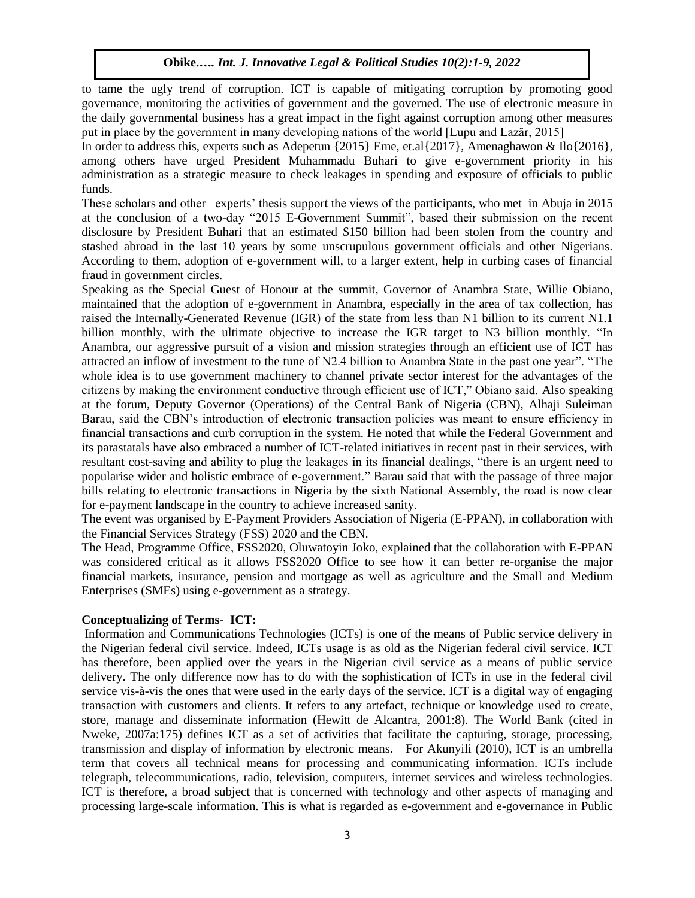to tame the ugly trend of corruption. ICT is capable of mitigating corruption by promoting good governance, monitoring the activities of government and the governed. The use of electronic measure in the daily governmental business has a great impact in the fight against corruption among other measures put in place by the government in many developing nations of the world [Lupu and Lazăr, 2015]

In order to address this, experts such as Adepetun {2015} Eme, et.al{2017}, Amenaghawon & Ilo{2016}, among others have urged President Muhammadu Buhari to give e-government priority in his administration as a strategic measure to check leakages in spending and exposure of officials to public funds.

These scholars and other experts' thesis support the views of the participants, who met in Abuja in 2015 at the conclusion of a two-day "2015 E-Government Summit", based their submission on the recent disclosure by President Buhari that an estimated \$150 billion had been stolen from the country and stashed abroad in the last 10 years by some unscrupulous government officials and other Nigerians. According to them, adoption of e-government will, to a larger extent, help in curbing cases of financial fraud in government circles.

Speaking as the Special Guest of Honour at the summit, Governor of Anambra State, Willie Obiano, maintained that the adoption of e-government in Anambra, especially in the area of tax collection, has raised the Internally-Generated Revenue (IGR) of the state from less than N1 billion to its current N1.1 billion monthly, with the ultimate objective to increase the IGR target to N3 billion monthly. "In Anambra, our aggressive pursuit of a vision and mission strategies through an efficient use of ICT has attracted an inflow of investment to the tune of N2.4 billion to Anambra State in the past one year". "The whole idea is to use government machinery to channel private sector interest for the advantages of the citizens by making the environment conductive through efficient use of ICT," Obiano said. Also speaking at the forum, Deputy Governor (Operations) of the Central Bank of Nigeria (CBN), Alhaji Suleiman Barau, said the CBN's introduction of electronic transaction policies was meant to ensure efficiency in financial transactions and curb corruption in the system. He noted that while the Federal Government and its parastatals have also embraced a number of ICT-related initiatives in recent past in their services, with resultant cost-saving and ability to plug the leakages in its financial dealings, "there is an urgent need to popularise wider and holistic embrace of e-government." Barau said that with the passage of three major bills relating to electronic transactions in Nigeria by the sixth National Assembly, the road is now clear for e-payment landscape in the country to achieve increased sanity.

The event was organised by E-Payment Providers Association of Nigeria (E-PPAN), in collaboration with the Financial Services Strategy (FSS) 2020 and the CBN.

The Head, Programme Office, FSS2020, Oluwatoyin Joko, explained that the collaboration with E-PPAN was considered critical as it allows FSS2020 Office to see how it can better re-organise the major financial markets, insurance, pension and mortgage as well as agriculture and the Small and Medium Enterprises (SMEs) using e-government as a strategy.

# **Conceptualizing of Terms- ICT:**

Information and Communications Technologies (ICTs) is one of the means of Public service delivery in the Nigerian federal civil service. Indeed, ICTs usage is as old as the Nigerian federal civil service. ICT has therefore, been applied over the years in the Nigerian civil service as a means of public service delivery. The only difference now has to do with the sophistication of ICTs in use in the federal civil service vis-à-vis the ones that were used in the early days of the service. ICT is a digital way of engaging transaction with customers and clients. It refers to any artefact, technique or knowledge used to create, store, manage and disseminate information (Hewitt de Alcantra, 2001:8). The World Bank (cited in Nweke, 2007a:175) defines ICT as a set of activities that facilitate the capturing, storage, processing, transmission and display of information by electronic means. For Akunyili (2010), ICT is an umbrella term that covers all technical means for processing and communicating information. ICTs include telegraph, telecommunications, radio, television, computers, internet services and wireless technologies. ICT is therefore, a broad subject that is concerned with technology and other aspects of managing and processing large-scale information. This is what is regarded as e-government and e-governance in Public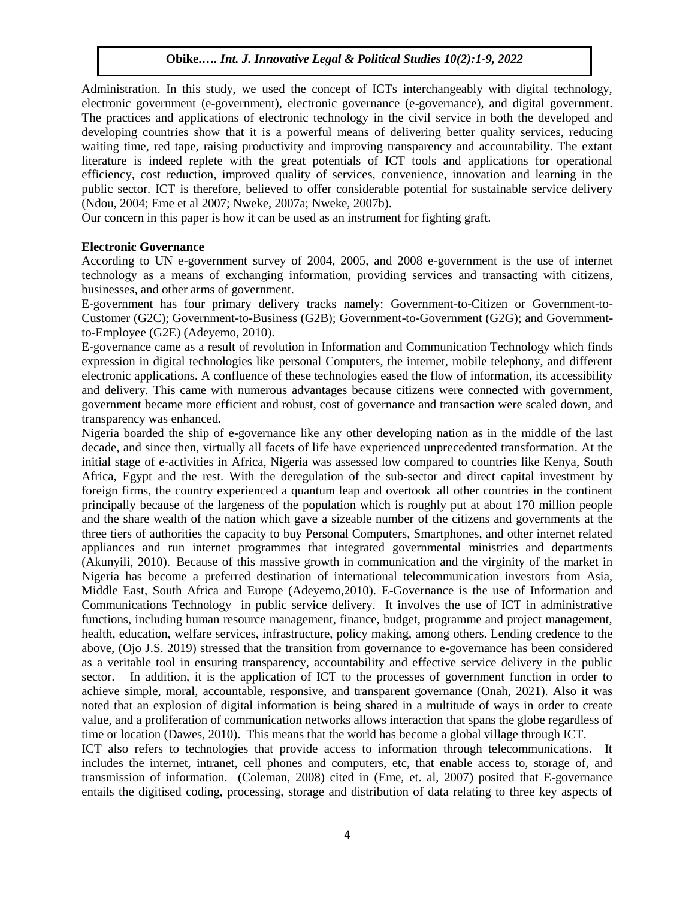Administration. In this study, we used the concept of ICTs interchangeably with digital technology, electronic government (e-government), electronic governance (e-governance), and digital government. The practices and applications of electronic technology in the civil service in both the developed and developing countries show that it is a powerful means of delivering better quality services, reducing waiting time, red tape, raising productivity and improving transparency and accountability. The extant literature is indeed replete with the great potentials of ICT tools and applications for operational efficiency, cost reduction, improved quality of services, convenience, innovation and learning in the public sector. ICT is therefore, believed to offer considerable potential for sustainable service delivery (Ndou, 2004; Eme et al 2007; Nweke, 2007a; Nweke, 2007b).

Our concern in this paper is how it can be used as an instrument for fighting graft.

#### **Electronic Governance**

According to UN e-government survey of 2004, 2005, and 2008 e-government is the use of internet technology as a means of exchanging information, providing services and transacting with citizens, businesses, and other arms of government.

E-government has four primary delivery tracks namely: Government-to-Citizen or Government-to-Customer (G2C); Government-to-Business (G2B); Government-to-Government (G2G); and Governmentto-Employee (G2E) (Adeyemo, 2010).

E-governance came as a result of revolution in Information and Communication Technology which finds expression in digital technologies like personal Computers, the internet, mobile telephony, and different electronic applications. A confluence of these technologies eased the flow of information, its accessibility and delivery. This came with numerous advantages because citizens were connected with government, government became more efficient and robust, cost of governance and transaction were scaled down, and transparency was enhanced.

Nigeria boarded the ship of e-governance like any other developing nation as in the middle of the last decade, and since then, virtually all facets of life have experienced unprecedented transformation. At the initial stage of e-activities in Africa, Nigeria was assessed low compared to countries like Kenya, South Africa, Egypt and the rest. With the deregulation of the sub-sector and direct capital investment by foreign firms, the country experienced a quantum leap and overtook all other countries in the continent principally because of the largeness of the population which is roughly put at about 170 million people and the share wealth of the nation which gave a sizeable number of the citizens and governments at the three tiers of authorities the capacity to buy Personal Computers, Smartphones, and other internet related appliances and run internet programmes that integrated governmental ministries and departments (Akunyili, 2010). Because of this massive growth in communication and the virginity of the market in Nigeria has become a preferred destination of international telecommunication investors from Asia, Middle East, South Africa and Europe (Adeyemo,2010). E-Governance is the use of Information and Communications Technology in public service delivery. It involves the use of ICT in administrative functions, including human resource management, finance, budget, programme and project management, health, education, welfare services, infrastructure, policy making, among others. Lending credence to the above, (Ojo J.S. 2019) stressed that the transition from governance to e-governance has been considered as a veritable tool in ensuring transparency, accountability and effective service delivery in the public sector. In addition, it is the application of ICT to the processes of government function in order to achieve simple, moral, accountable, responsive, and transparent governance (Onah, 2021). Also it was noted that an explosion of digital information is being shared in a multitude of ways in order to create value, and a proliferation of communication networks allows interaction that spans the globe regardless of time or location (Dawes, 2010). This means that the world has become a global village through ICT.

ICT also refers to technologies that provide access to information through telecommunications. It includes the internet, intranet, cell phones and computers, etc, that enable access to, storage of, and transmission of information. (Coleman, 2008) cited in (Eme, et. al, 2007) posited that E-governance entails the digitised coding, processing, storage and distribution of data relating to three key aspects of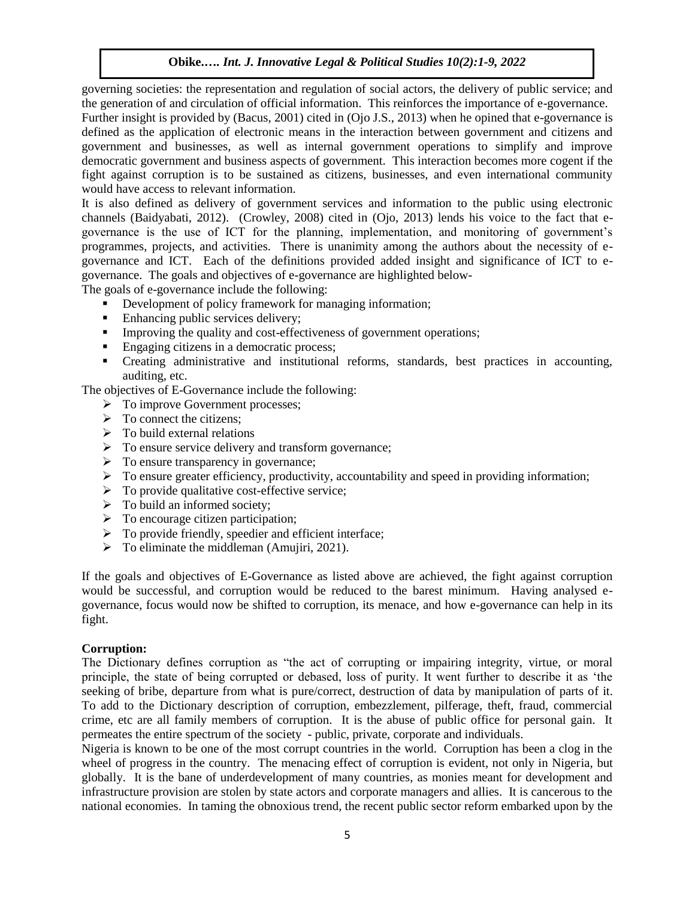governing societies: the representation and regulation of social actors, the delivery of public service; and the generation of and circulation of official information. This reinforces the importance of e-governance. Further insight is provided by (Bacus, 2001) cited in (Ojo J.S., 2013) when he opined that e-governance is defined as the application of electronic means in the interaction between government and citizens and government and businesses, as well as internal government operations to simplify and improve democratic government and business aspects of government. This interaction becomes more cogent if the fight against corruption is to be sustained as citizens, businesses, and even international community would have access to relevant information.

It is also defined as delivery of government services and information to the public using electronic channels (Baidyabati, 2012). (Crowley, 2008) cited in (Ojo, 2013) lends his voice to the fact that egovernance is the use of ICT for the planning, implementation, and monitoring of government's programmes, projects, and activities. There is unanimity among the authors about the necessity of egovernance and ICT. Each of the definitions provided added insight and significance of ICT to egovernance. The goals and objectives of e-governance are highlighted below-

The goals of e-governance include the following:

- Development of policy framework for managing information;
- Enhancing public services delivery;
- Improving the quality and cost-effectiveness of government operations;
- Engaging citizens in a democratic process;
- Creating administrative and institutional reforms, standards, best practices in accounting, auditing, etc.

The objectives of E-Governance include the following:

- $\triangleright$  To improve Government processes;
- $\triangleright$  To connect the citizens;
- $\triangleright$  To build external relations
- $\triangleright$  To ensure service delivery and transform governance;
- > To ensure transparency in governance;
- $\triangleright$  To ensure greater efficiency, productivity, accountability and speed in providing information;
- $\triangleright$  To provide qualitative cost-effective service;
- $\triangleright$  To build an informed society;
- $\triangleright$  To encourage citizen participation;
- $\triangleright$  To provide friendly, speedier and efficient interface;
- $\triangleright$  To eliminate the middleman (Amujiri, 2021).

If the goals and objectives of E-Governance as listed above are achieved, the fight against corruption would be successful, and corruption would be reduced to the barest minimum. Having analysed egovernance, focus would now be shifted to corruption, its menace, and how e-governance can help in its fight.

# **Corruption:**

The Dictionary defines corruption as "the act of corrupting or impairing integrity, virtue, or moral principle, the state of being corrupted or debased, loss of purity. It went further to describe it as 'the seeking of bribe, departure from what is pure/correct, destruction of data by manipulation of parts of it. To add to the Dictionary description of corruption, embezzlement, pilferage, theft, fraud, commercial crime, etc are all family members of corruption. It is the abuse of public office for personal gain. It permeates the entire spectrum of the society - public, private, corporate and individuals.

Nigeria is known to be one of the most corrupt countries in the world. Corruption has been a clog in the wheel of progress in the country. The menacing effect of corruption is evident, not only in Nigeria, but globally. It is the bane of underdevelopment of many countries, as monies meant for development and infrastructure provision are stolen by state actors and corporate managers and allies. It is cancerous to the national economies. In taming the obnoxious trend, the recent public sector reform embarked upon by the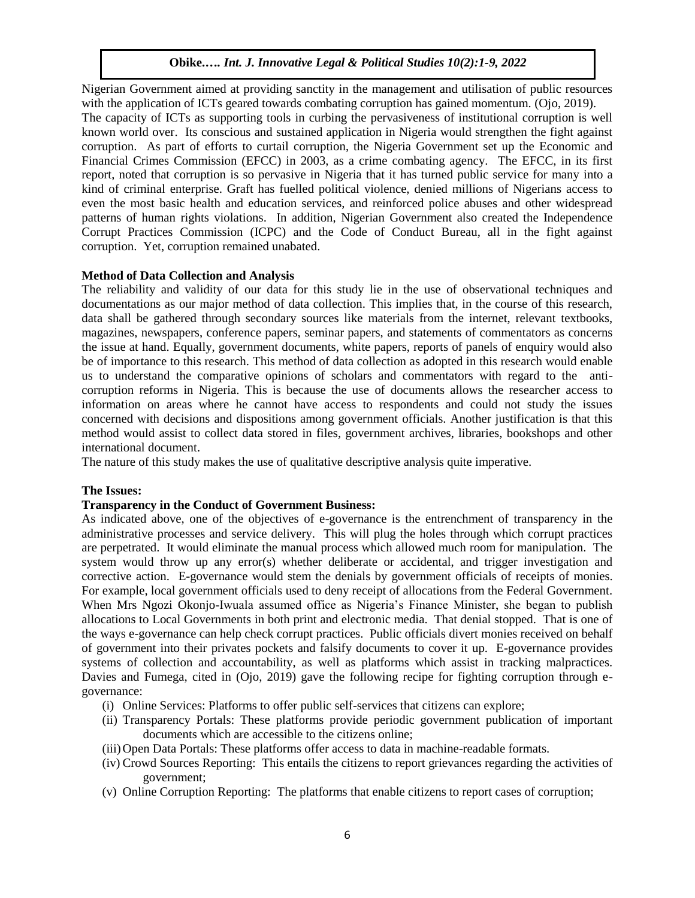Nigerian Government aimed at providing sanctity in the management and utilisation of public resources with the application of ICTs geared towards combating corruption has gained momentum. (Ojo, 2019). The capacity of ICTs as supporting tools in curbing the pervasiveness of institutional corruption is well known world over. Its conscious and sustained application in Nigeria would strengthen the fight against corruption. As part of efforts to curtail corruption, the Nigeria Government set up the Economic and Financial Crimes Commission (EFCC) in 2003, as a crime combating agency. The EFCC, in its first report, noted that corruption is so pervasive in Nigeria that it has turned public service for many into a kind of criminal enterprise. Graft has fuelled political violence, denied millions of Nigerians access to even the most basic health and education services, and reinforced police abuses and other widespread patterns of human rights violations. In addition, Nigerian Government also created the Independence Corrupt Practices Commission (ICPC) and the Code of Conduct Bureau, all in the fight against corruption. Yet, corruption remained unabated.

#### **Method of Data Collection and Analysis**

The reliability and validity of our data for this study lie in the use of observational techniques and documentations as our major method of data collection. This implies that, in the course of this research, data shall be gathered through secondary sources like materials from the internet, relevant textbooks, magazines, newspapers, conference papers, seminar papers, and statements of commentators as concerns the issue at hand. Equally, government documents, white papers, reports of panels of enquiry would also be of importance to this research. This method of data collection as adopted in this research would enable us to understand the comparative opinions of scholars and commentators with regard to the anticorruption reforms in Nigeria. This is because the use of documents allows the researcher access to information on areas where he cannot have access to respondents and could not study the issues concerned with decisions and dispositions among government officials. Another justification is that this method would assist to collect data stored in files, government archives, libraries, bookshops and other international document.

The nature of this study makes the use of qualitative descriptive analysis quite imperative.

#### **The Issues:**

#### **Transparency in the Conduct of Government Business:**

As indicated above, one of the objectives of e-governance is the entrenchment of transparency in the administrative processes and service delivery. This will plug the holes through which corrupt practices are perpetrated. It would eliminate the manual process which allowed much room for manipulation. The system would throw up any error(s) whether deliberate or accidental, and trigger investigation and corrective action. E-governance would stem the denials by government officials of receipts of monies. For example, local government officials used to deny receipt of allocations from the Federal Government. When Mrs Ngozi Okonjo-Iwuala assumed office as Nigeria's Finance Minister, she began to publish allocations to Local Governments in both print and electronic media. That denial stopped. That is one of the ways e-governance can help check corrupt practices. Public officials divert monies received on behalf of government into their privates pockets and falsify documents to cover it up. E-governance provides systems of collection and accountability, as well as platforms which assist in tracking malpractices. Davies and Fumega, cited in (Ojo, 2019) gave the following recipe for fighting corruption through egovernance:

- (i) Online Services: Platforms to offer public self-services that citizens can explore;
- (ii) Transparency Portals: These platforms provide periodic government publication of important documents which are accessible to the citizens online;
- (iii)Open Data Portals: These platforms offer access to data in machine-readable formats.
- (iv) Crowd Sources Reporting: This entails the citizens to report grievances regarding the activities of government;
- (v) Online Corruption Reporting: The platforms that enable citizens to report cases of corruption;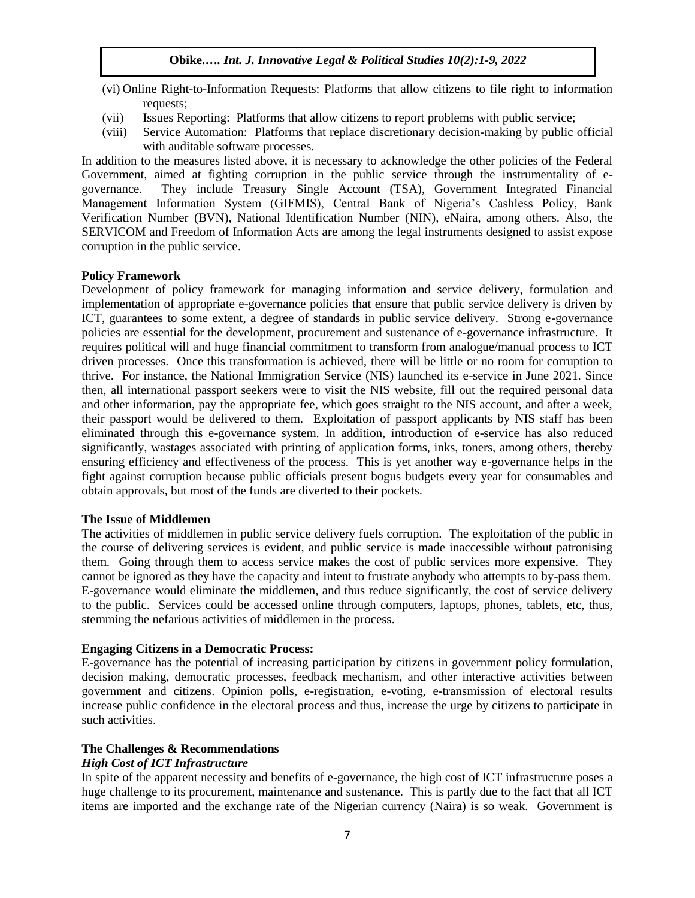- (vi) Online Right-to-Information Requests: Platforms that allow citizens to file right to information requests;
- (vii) Issues Reporting: Platforms that allow citizens to report problems with public service;
- (viii) Service Automation: Platforms that replace discretionary decision-making by public official with auditable software processes.

In addition to the measures listed above, it is necessary to acknowledge the other policies of the Federal Government, aimed at fighting corruption in the public service through the instrumentality of egovernance. They include Treasury Single Account (TSA), Government Integrated Financial Management Information System (GIFMIS), Central Bank of Nigeria's Cashless Policy, Bank Verification Number (BVN), National Identification Number (NIN), eNaira, among others. Also, the SERVICOM and Freedom of Information Acts are among the legal instruments designed to assist expose corruption in the public service.

# **Policy Framework**

Development of policy framework for managing information and service delivery, formulation and implementation of appropriate e-governance policies that ensure that public service delivery is driven by ICT, guarantees to some extent, a degree of standards in public service delivery. Strong e-governance policies are essential for the development, procurement and sustenance of e-governance infrastructure. It requires political will and huge financial commitment to transform from analogue/manual process to ICT driven processes. Once this transformation is achieved, there will be little or no room for corruption to thrive. For instance, the National Immigration Service (NIS) launched its e-service in June 2021. Since then, all international passport seekers were to visit the NIS website, fill out the required personal data and other information, pay the appropriate fee, which goes straight to the NIS account, and after a week, their passport would be delivered to them. Exploitation of passport applicants by NIS staff has been eliminated through this e-governance system. In addition, introduction of e-service has also reduced significantly, wastages associated with printing of application forms, inks, toners, among others, thereby ensuring efficiency and effectiveness of the process. This is yet another way e-governance helps in the fight against corruption because public officials present bogus budgets every year for consumables and obtain approvals, but most of the funds are diverted to their pockets.

#### **The Issue of Middlemen**

The activities of middlemen in public service delivery fuels corruption. The exploitation of the public in the course of delivering services is evident, and public service is made inaccessible without patronising them. Going through them to access service makes the cost of public services more expensive. They cannot be ignored as they have the capacity and intent to frustrate anybody who attempts to by-pass them. E-governance would eliminate the middlemen, and thus reduce significantly, the cost of service delivery to the public. Services could be accessed online through computers, laptops, phones, tablets, etc, thus, stemming the nefarious activities of middlemen in the process.

# **Engaging Citizens in a Democratic Process:**

E-governance has the potential of increasing participation by citizens in government policy formulation, decision making, democratic processes, feedback mechanism, and other interactive activities between government and citizens. Opinion polls, e-registration, e-voting, e-transmission of electoral results increase public confidence in the electoral process and thus, increase the urge by citizens to participate in such activities.

# **The Challenges & Recommendations**

# *High Cost of ICT Infrastructure*

In spite of the apparent necessity and benefits of e-governance, the high cost of ICT infrastructure poses a huge challenge to its procurement, maintenance and sustenance. This is partly due to the fact that all ICT items are imported and the exchange rate of the Nigerian currency (Naira) is so weak. Government is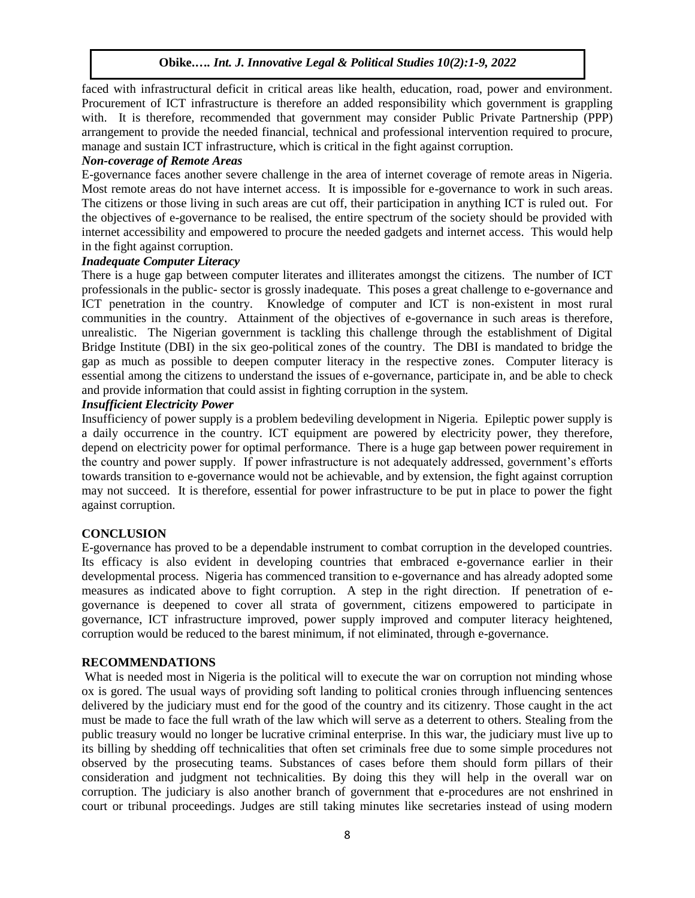faced with infrastructural deficit in critical areas like health, education, road, power and environment. Procurement of ICT infrastructure is therefore an added responsibility which government is grappling with. It is therefore, recommended that government may consider Public Private Partnership (PPP) arrangement to provide the needed financial, technical and professional intervention required to procure, manage and sustain ICT infrastructure, which is critical in the fight against corruption.

## *Non-coverage of Remote Areas*

E-governance faces another severe challenge in the area of internet coverage of remote areas in Nigeria. Most remote areas do not have internet access. It is impossible for e-governance to work in such areas. The citizens or those living in such areas are cut off, their participation in anything ICT is ruled out. For the objectives of e-governance to be realised, the entire spectrum of the society should be provided with internet accessibility and empowered to procure the needed gadgets and internet access. This would help in the fight against corruption.

#### *Inadequate Computer Literacy*

There is a huge gap between computer literates and illiterates amongst the citizens. The number of ICT professionals in the public- sector is grossly inadequate. This poses a great challenge to e-governance and ICT penetration in the country. Knowledge of computer and ICT is non-existent in most rural communities in the country. Attainment of the objectives of e-governance in such areas is therefore, unrealistic. The Nigerian government is tackling this challenge through the establishment of Digital Bridge Institute (DBI) in the six geo-political zones of the country. The DBI is mandated to bridge the gap as much as possible to deepen computer literacy in the respective zones. Computer literacy is essential among the citizens to understand the issues of e-governance, participate in, and be able to check and provide information that could assist in fighting corruption in the system.

#### *Insufficient Electricity Power*

Insufficiency of power supply is a problem bedeviling development in Nigeria. Epileptic power supply is a daily occurrence in the country. ICT equipment are powered by electricity power, they therefore, depend on electricity power for optimal performance. There is a huge gap between power requirement in the country and power supply. If power infrastructure is not adequately addressed, government's efforts towards transition to e-governance would not be achievable, and by extension, the fight against corruption may not succeed. It is therefore, essential for power infrastructure to be put in place to power the fight against corruption.

# **CONCLUSION**

E-governance has proved to be a dependable instrument to combat corruption in the developed countries. Its efficacy is also evident in developing countries that embraced e-governance earlier in their developmental process. Nigeria has commenced transition to e-governance and has already adopted some measures as indicated above to fight corruption. A step in the right direction. If penetration of egovernance is deepened to cover all strata of government, citizens empowered to participate in governance, ICT infrastructure improved, power supply improved and computer literacy heightened, corruption would be reduced to the barest minimum, if not eliminated, through e-governance.

#### **RECOMMENDATIONS**

What is needed most in Nigeria is the political will to execute the war on corruption not minding whose ox is gored. The usual ways of providing soft landing to political cronies through influencing sentences delivered by the judiciary must end for the good of the country and its citizenry. Those caught in the act must be made to face the full wrath of the law which will serve as a deterrent to others. Stealing from the public treasury would no longer be lucrative criminal enterprise. In this war, the judiciary must live up to its billing by shedding off technicalities that often set criminals free due to some simple procedures not observed by the prosecuting teams. Substances of cases before them should form pillars of their consideration and judgment not technicalities. By doing this they will help in the overall war on corruption. The judiciary is also another branch of government that e-procedures are not enshrined in court or tribunal proceedings. Judges are still taking minutes like secretaries instead of using modern